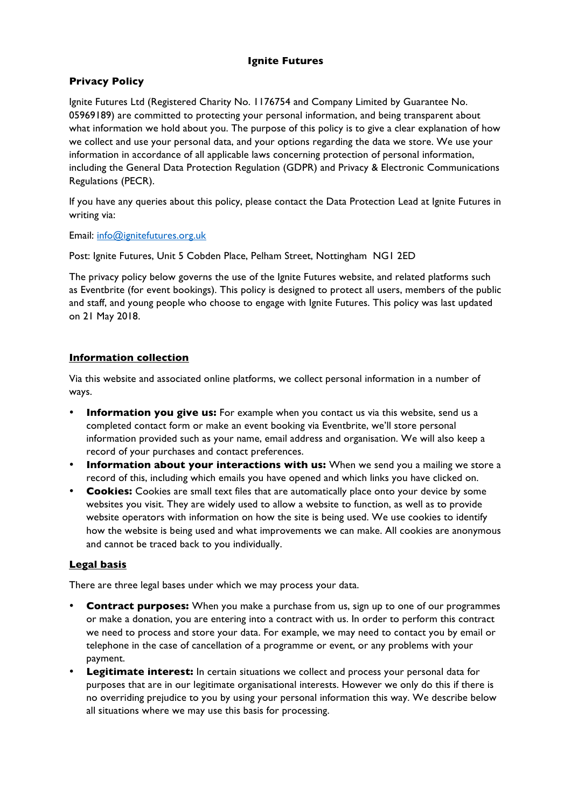## **Ignite Futures**

# **Privacy Policy**

Ignite Futures Ltd (Registered Charity No. 1176754 and Company Limited by Guarantee No. 05969189) are committed to protecting your personal information, and being transparent about what information we hold about you. The purpose of this policy is to give a clear explanation of how we collect and use your personal data, and your options regarding the data we store. We use your information in accordance of all applicable laws concerning protection of personal information, including the General Data Protection Regulation (GDPR) and Privacy & Electronic Communications Regulations (PECR).

If you have any queries about this policy, please contact the Data Protection Lead at Ignite Futures in writing via:

Email: info@ignitefutures.org.uk

Post: Ignite Futures, Unit 5 Cobden Place, Pelham Street, Nottingham NG1 2ED

The privacy policy below governs the use of the Ignite Futures website, and related platforms such as Eventbrite (for event bookings). This policy is designed to protect all users, members of the public and staff, and young people who choose to engage with Ignite Futures. This policy was last updated on 21 May 2018.

## **Information collection**

Via this website and associated online platforms, we collect personal information in a number of ways.

- **Information you give us:** For example when you contact us via this website, send us a completed contact form or make an event booking via Eventbrite, we'll store personal information provided such as your name, email address and organisation. We will also keep a record of your purchases and contact preferences.
- **Information about your interactions with us:** When we send you a mailing we store a record of this, including which emails you have opened and which links you have clicked on.
- **Cookies:** Cookies are small text files that are automatically place onto your device by some websites you visit. They are widely used to allow a website to function, as well as to provide website operators with information on how the site is being used. We use cookies to identify how the website is being used and what improvements we can make. All cookies are anonymous and cannot be traced back to you individually.

## **Legal basis**

There are three legal bases under which we may process your data.

- **Contract purposes:** When you make a purchase from us, sign up to one of our programmes or make a donation, you are entering into a contract with us. In order to perform this contract we need to process and store your data. For example, we may need to contact you by email or telephone in the case of cancellation of a programme or event, or any problems with your payment.
- **Legitimate interest:** In certain situations we collect and process your personal data for purposes that are in our legitimate organisational interests. However we only do this if there is no overriding prejudice to you by using your personal information this way. We describe below all situations where we may use this basis for processing.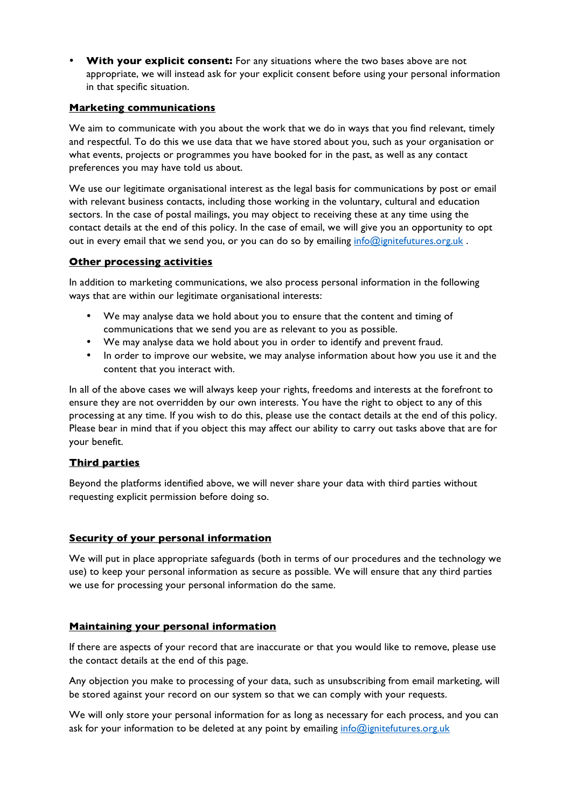• **With your explicit consent:** For any situations where the two bases above are not appropriate, we will instead ask for your explicit consent before using your personal information in that specific situation.

### **Marketing communications**

We aim to communicate with you about the work that we do in ways that you find relevant, timely and respectful. To do this we use data that we have stored about you, such as your organisation or what events, projects or programmes you have booked for in the past, as well as any contact preferences you may have told us about.

We use our legitimate organisational interest as the legal basis for communications by post or email with relevant business contacts, including those working in the voluntary, cultural and education sectors. In the case of postal mailings, you may object to receiving these at any time using the contact details at the end of this policy. In the case of email, we will give you an opportunity to opt out in every email that we send you, or you can do so by emailing info@ignitefutures.org.uk.

### **Other processing activities**

In addition to marketing communications, we also process personal information in the following ways that are within our legitimate organisational interests:

- We may analyse data we hold about you to ensure that the content and timing of communications that we send you are as relevant to you as possible.
- We may analyse data we hold about you in order to identify and prevent fraud.
- In order to improve our website, we may analyse information about how you use it and the content that you interact with.

In all of the above cases we will always keep your rights, freedoms and interests at the forefront to ensure they are not overridden by our own interests. You have the right to object to any of this processing at any time. If you wish to do this, please use the contact details at the end of this policy. Please bear in mind that if you object this may affect our ability to carry out tasks above that are for your benefit.

## **Third parties**

Beyond the platforms identified above, we will never share your data with third parties without requesting explicit permission before doing so.

## **Security of your personal information**

We will put in place appropriate safeguards (both in terms of our procedures and the technology we use) to keep your personal information as secure as possible. We will ensure that any third parties we use for processing your personal information do the same.

## **Maintaining your personal information**

If there are aspects of your record that are inaccurate or that you would like to remove, please use the contact details at the end of this page.

Any objection you make to processing of your data, such as unsubscribing from email marketing, will be stored against your record on our system so that we can comply with your requests.

We will only store your personal information for as long as necessary for each process, and you can ask for your information to be deleted at any point by emailing info@ignitefutures.org.uk